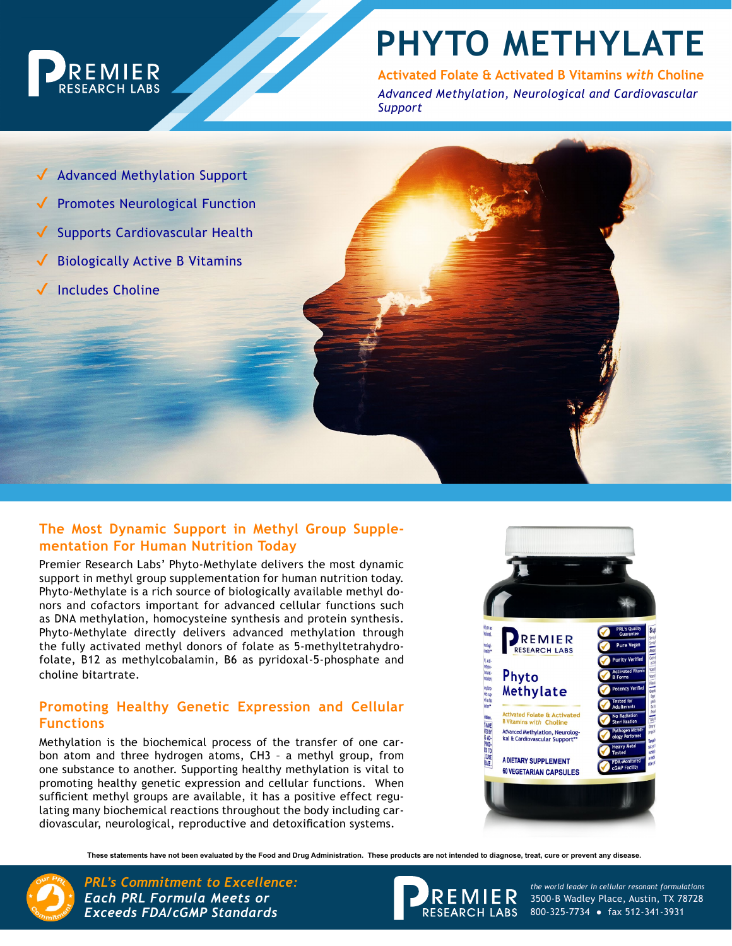

# **PHYTO METHYLATE**

**Activated Folate & Activated B Vitamins** *with* **Choline** *Advanced Methylation, Neurological and Cardiovascular Support*

- Advanced Methylation Support
- **Promotes Neurological Function**
- Supports Cardiovascular Health
- **Biologically Active B Vitamins**
- **Includes Choline**

### **The Most Dynamic Support in Methyl Group Supplementation For Human Nutrition Today**

Premier Research Labs' Phyto-Methylate delivers the most dynamic support in methyl group supplementation for human nutrition today. Phyto-Methylate is a rich source of biologically available methyl donors and cofactors important for advanced cellular functions such as DNA methylation, homocysteine synthesis and protein synthesis. Phyto-Methylate directly delivers advanced methylation through the fully activated methyl donors of folate as 5-methyltetrahydrofolate, B12 as methylcobalamin, B6 as pyridoxal-5-phosphate and choline bitartrate.

### **Promoting Healthy Genetic Expression and Cellular Functions**

Methylation is the biochemical process of the transfer of one carbon atom and three hydrogen atoms, CH3 – a methyl group, from one substance to another. Supporting healthy methylation is vital to promoting healthy genetic expression and cellular functions. When sufficient methyl groups are available, it has a positive effect regulating many biochemical reactions throughout the body including cardiovascular, neurological, reproductive and detoxification systems.



**These statements have not been evaluated by the Food and Drug Administration. These products are not intended to diagnose, treat, cure or prevent any disease.**



*PRL's Commitment to Excellence: the world leader in cellular resonant formulations Each PRL Formula Meets or Exceeds FDA/cGMP Standards*



3500-B Wadley Place, Austin, TX 78728 RESEARCH LABS 800-325-7734 • fax 512-341-3931